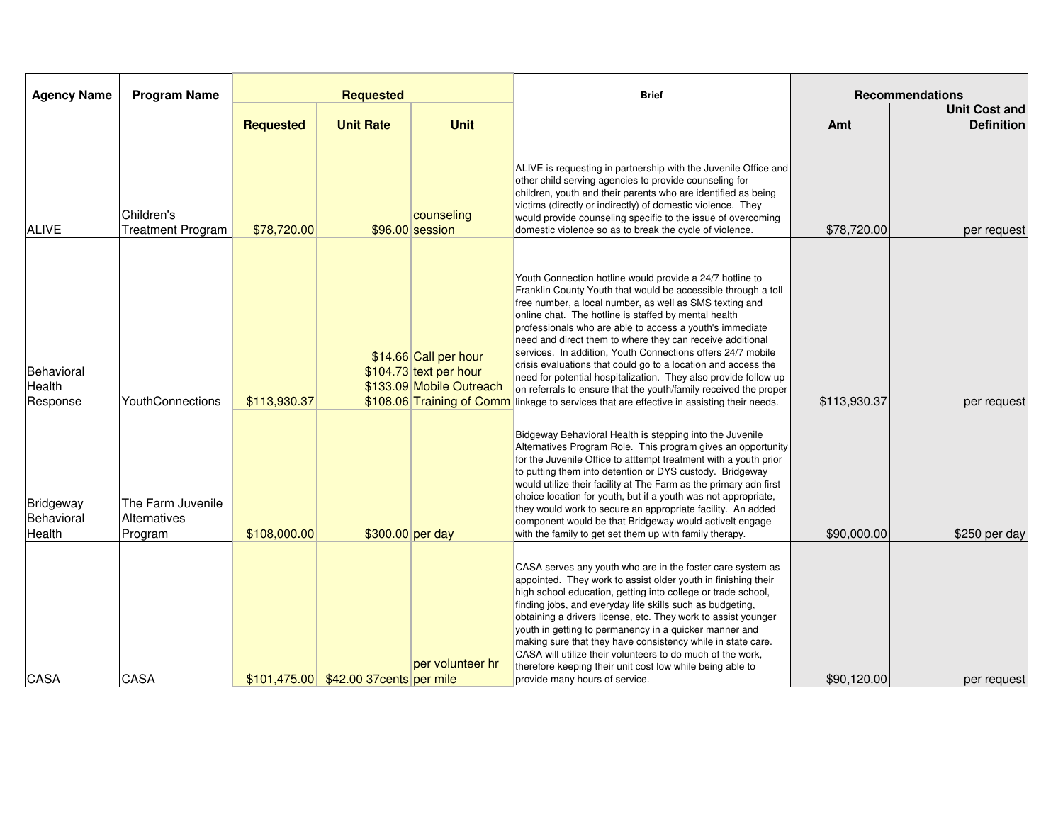| <b>Agency Name</b>                       | <b>Program Name</b>                          | <b>Requested</b> |                                        |                                                                                                          | <b>Brief</b>                                                                                                                                                                                                                                                                                                                                                                                                                                                                                                                                                                                                                                                                                                     | <b>Recommendations</b> |                      |
|------------------------------------------|----------------------------------------------|------------------|----------------------------------------|----------------------------------------------------------------------------------------------------------|------------------------------------------------------------------------------------------------------------------------------------------------------------------------------------------------------------------------------------------------------------------------------------------------------------------------------------------------------------------------------------------------------------------------------------------------------------------------------------------------------------------------------------------------------------------------------------------------------------------------------------------------------------------------------------------------------------------|------------------------|----------------------|
|                                          |                                              |                  |                                        |                                                                                                          |                                                                                                                                                                                                                                                                                                                                                                                                                                                                                                                                                                                                                                                                                                                  |                        | <b>Unit Cost and</b> |
|                                          |                                              | <b>Requested</b> | <b>Unit Rate</b>                       | <b>Unit</b>                                                                                              |                                                                                                                                                                                                                                                                                                                                                                                                                                                                                                                                                                                                                                                                                                                  | Amt                    | <b>Definition</b>    |
| <b>ALIVE</b>                             | Children's<br><b>Treatment Program</b>       | \$78,720.00      |                                        | counseling<br>\$96.00 session                                                                            | ALIVE is requesting in partnership with the Juvenile Office and<br>other child serving agencies to provide counseling for<br>children, youth and their parents who are identified as being<br>victims (directly or indirectly) of domestic violence. They<br>would provide counseling specific to the issue of overcoming<br>domestic violence so as to break the cycle of violence.                                                                                                                                                                                                                                                                                                                             | \$78,720.00            | per request          |
| Behavioral<br>Health<br>Response         | YouthConnections                             | \$113,930.37     |                                        | \$14.66 Call per hour<br>\$104.73 text per hour<br>\$133.09 Mobile Outreach<br>\$108.06 Training of Comm | Youth Connection hotline would provide a 24/7 hotline to<br>Franklin County Youth that would be accessible through a toll<br>free number, a local number, as well as SMS texting and<br>online chat. The hotline is staffed by mental health<br>professionals who are able to access a youth's immediate<br>need and direct them to where they can receive additional<br>services. In addition, Youth Connections offers 24/7 mobile<br>crisis evaluations that could go to a location and access the<br>need for potential hospitalization. They also provide follow up<br>on referrals to ensure that the youth/family received the proper<br>linkage to services that are effective in assisting their needs. | \$113,930.37           | per request          |
| <b>Bridgeway</b><br>Behavioral<br>Health | The Farm Juvenile<br>Alternatives<br>Program | \$108,000.00     | \$300.00 per day                       |                                                                                                          | Bidgeway Behavioral Health is stepping into the Juvenile<br>Alternatives Program Role. This program gives an opportunity<br>for the Juvenile Office to atttempt treatment with a youth prior<br>to putting them into detention or DYS custody. Bridgeway<br>would utilize their facility at The Farm as the primary adn first<br>choice location for youth, but if a youth was not appropriate,<br>they would work to secure an appropriate facility. An added<br>component would be that Bridgeway would activelt engage<br>with the family to get set them up with family therapy.                                                                                                                             | \$90,000.00            | \$250 per day        |
| CASA                                     | CASA                                         |                  | \$101,475.00 \$42.00 37 cents per mile | per volunteer hr                                                                                         | CASA serves any youth who are in the foster care system as<br>appointed. They work to assist older youth in finishing their<br>high school education, getting into college or trade school,<br>finding jobs, and everyday life skills such as budgeting,<br>obtaining a drivers license, etc. They work to assist younger<br>youth in getting to permanency in a quicker manner and<br>making sure that they have consistency while in state care.<br>CASA will utilize their volunteers to do much of the work,<br>therefore keeping their unit cost low while being able to<br>provide many hours of service.                                                                                                  | \$90,120.00            | per request          |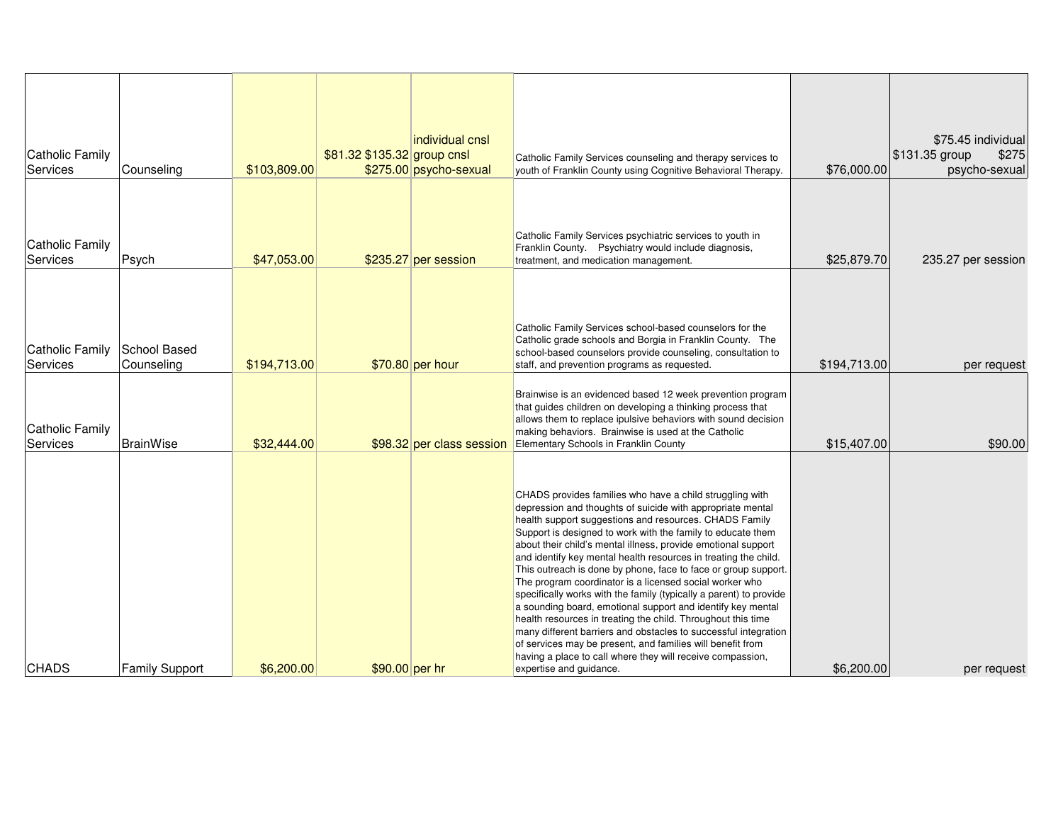| <b>Catholic Family</b><br><b>Services</b> | Counseling                 | \$103,809.00 | \$81.32 \$135.32 group cnsl | individual cnsl<br>\$275.00 psycho-sexual | Catholic Family Services counseling and therapy services to<br>youth of Franklin County using Cognitive Behavioral Therapy.                                                                                                                                                                                                                                                                                                                                                                                                                                                                                                                                                                                                                                                                                                                                                                                                                     | \$76,000.00  | \$75.45 individual<br>\$275<br>\$131.35 group<br>psycho-sexual |
|-------------------------------------------|----------------------------|--------------|-----------------------------|-------------------------------------------|-------------------------------------------------------------------------------------------------------------------------------------------------------------------------------------------------------------------------------------------------------------------------------------------------------------------------------------------------------------------------------------------------------------------------------------------------------------------------------------------------------------------------------------------------------------------------------------------------------------------------------------------------------------------------------------------------------------------------------------------------------------------------------------------------------------------------------------------------------------------------------------------------------------------------------------------------|--------------|----------------------------------------------------------------|
| <b>Catholic Family</b><br>Services        | Psych                      | \$47,053.00  |                             | \$235.27 per session                      | Catholic Family Services psychiatric services to youth in<br>Franklin County. Psychiatry would include diagnosis,<br>treatment, and medication management.                                                                                                                                                                                                                                                                                                                                                                                                                                                                                                                                                                                                                                                                                                                                                                                      | \$25,879.70  | 235.27 per session                                             |
| <b>Catholic Family</b><br>Services        | School Based<br>Counseling | \$194,713.00 |                             | \$70.80 per hour                          | Catholic Family Services school-based counselors for the<br>Catholic grade schools and Borgia in Franklin County. The<br>school-based counselors provide counseling, consultation to<br>staff, and prevention programs as requested.                                                                                                                                                                                                                                                                                                                                                                                                                                                                                                                                                                                                                                                                                                            | \$194,713.00 | per request                                                    |
| <b>Catholic Family</b><br>Services        | <b>BrainWise</b>           | \$32,444.00  |                             | \$98.32 per class session                 | Brainwise is an evidenced based 12 week prevention program<br>that quides children on developing a thinking process that<br>allows them to replace ipulsive behaviors with sound decision<br>making behaviors. Brainwise is used at the Catholic<br>Elementary Schools in Franklin County                                                                                                                                                                                                                                                                                                                                                                                                                                                                                                                                                                                                                                                       | \$15,407.00  | \$90.00                                                        |
| <b>CHADS</b>                              | <b>Family Support</b>      | \$6,200.00   | \$90.00 per hr              |                                           | CHADS provides families who have a child struggling with<br>depression and thoughts of suicide with appropriate mental<br>health support suggestions and resources. CHADS Family<br>Support is designed to work with the family to educate them<br>about their child's mental illness, provide emotional support<br>and identify key mental health resources in treating the child.<br>This outreach is done by phone, face to face or group support.<br>The program coordinator is a licensed social worker who<br>specifically works with the family (typically a parent) to provide<br>a sounding board, emotional support and identify key mental<br>health resources in treating the child. Throughout this time<br>many different barriers and obstacles to successful integration<br>of services may be present, and families will benefit from<br>having a place to call where they will receive compassion,<br>expertise and guidance. | \$6,200.00   | per request                                                    |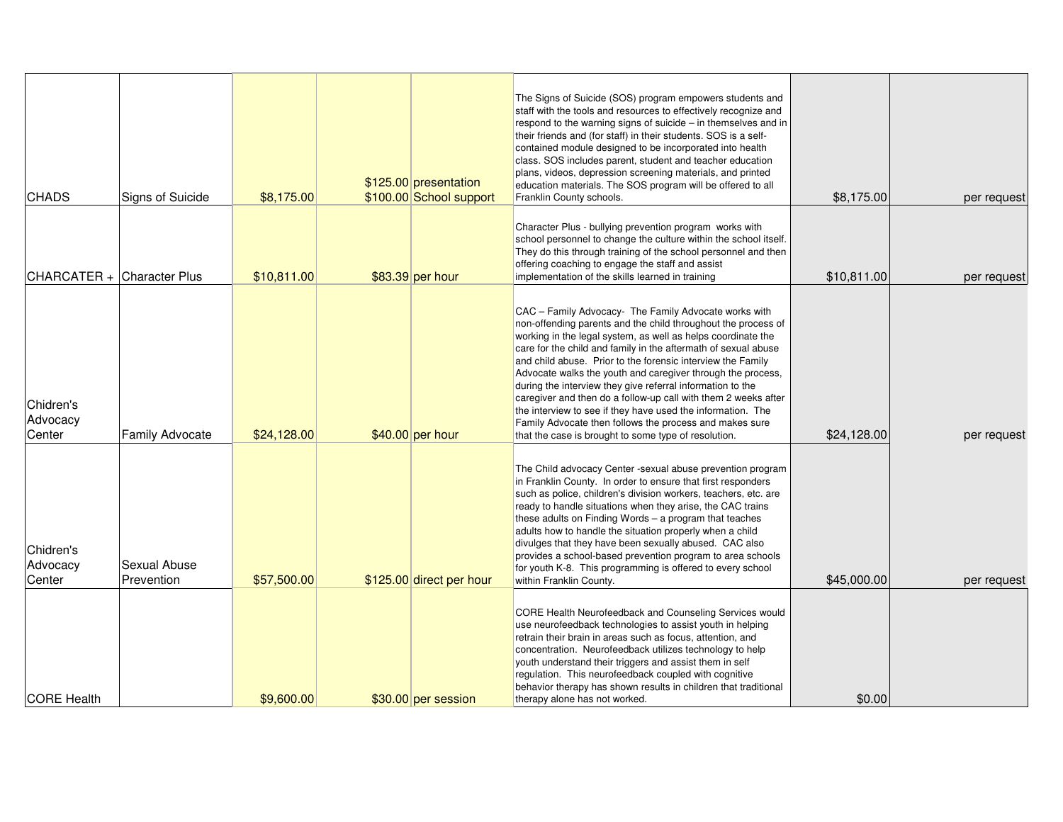| <b>CHADS</b>                    | Signs of Suicide           | \$8,175.00  | \$125.00 presentation<br>\$100.00 School support | The Signs of Suicide (SOS) program empowers students and<br>staff with the tools and resources to effectively recognize and<br>respond to the warning signs of suicide – in themselves and in<br>their friends and (for staff) in their students. SOS is a self-<br>contained module designed to be incorporated into health<br>class. SOS includes parent, student and teacher education<br>plans, videos, depression screening materials, and printed<br>education materials. The SOS program will be offered to all<br>Franklin County schools.                                                                                                                                                       | \$8,175.00  | per request |
|---------------------------------|----------------------------|-------------|--------------------------------------------------|----------------------------------------------------------------------------------------------------------------------------------------------------------------------------------------------------------------------------------------------------------------------------------------------------------------------------------------------------------------------------------------------------------------------------------------------------------------------------------------------------------------------------------------------------------------------------------------------------------------------------------------------------------------------------------------------------------|-------------|-------------|
|                                 | CHARCATER + Character Plus | \$10,811.00 | \$83.39 per hour                                 | Character Plus - bullying prevention program works with<br>school personnel to change the culture within the school itself.<br>They do this through training of the school personnel and then<br>offering coaching to engage the staff and assist<br>implementation of the skills learned in training                                                                                                                                                                                                                                                                                                                                                                                                    | \$10,811.00 | per request |
| Chidren's<br>Advocacy<br>Center | <b>Family Advocate</b>     | \$24,128.00 | $$40.00$ per hour                                | CAC - Family Advocacy- The Family Advocate works with<br>non-offending parents and the child throughout the process of<br>working in the legal system, as well as helps coordinate the<br>care for the child and family in the aftermath of sexual abuse<br>and child abuse. Prior to the forensic interview the Family<br>Advocate walks the youth and caregiver through the process,<br>during the interview they give referral information to the<br>caregiver and then do a follow-up call with them 2 weeks after<br>the interview to see if they have used the information. The<br>Family Advocate then follows the process and makes sure<br>that the case is brought to some type of resolution. | \$24,128.00 | per request |
| Chidren's<br>Advocacy<br>Center | Sexual Abuse<br>Prevention | \$57,500.00 | \$125.00 direct per hour                         | The Child advocacy Center -sexual abuse prevention program<br>in Franklin County. In order to ensure that first responders<br>such as police, children's division workers, teachers, etc. are<br>ready to handle situations when they arise, the CAC trains<br>these adults on Finding Words $-$ a program that teaches<br>adults how to handle the situation properly when a child<br>divulges that they have been sexually abused. CAC also<br>provides a school-based prevention program to area schools<br>for youth K-8. This programming is offered to every school<br>within Franklin County.                                                                                                     | \$45,000.00 | per request |
| <b>CORE Health</b>              |                            | \$9,600.00  | \$30.00 per session                              | CORE Health Neurofeedback and Counseling Services would<br>use neurofeedback technologies to assist youth in helping<br>retrain their brain in areas such as focus, attention, and<br>concentration. Neurofeedback utilizes technology to help<br>youth understand their triggers and assist them in self<br>regulation. This neurofeedback coupled with cognitive<br>behavior therapy has shown results in children that traditional<br>therapy alone has not worked.                                                                                                                                                                                                                                   | \$0.00      |             |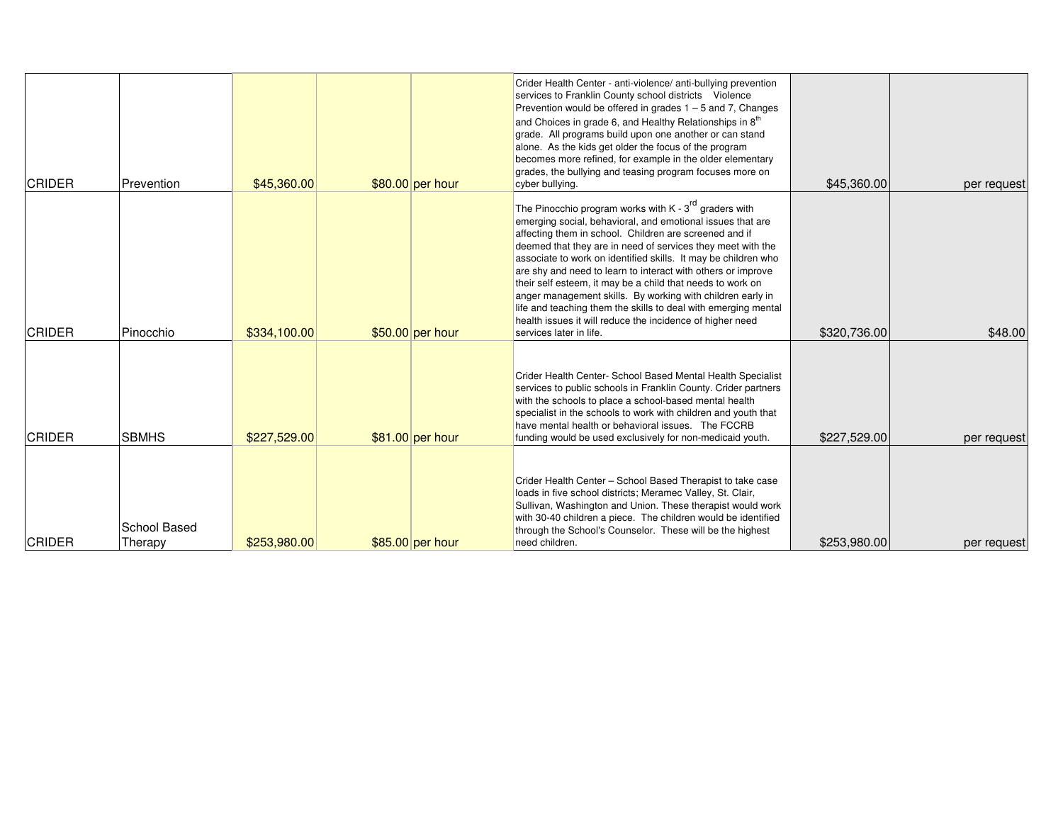| <b>CRIDER</b> | Prevention              | \$45,360,00  | \$80.00 per hour  | Crider Health Center - anti-violence/ anti-bullying prevention<br>services to Franklin County school districts Violence<br>Prevention would be offered in grades $1 - 5$ and 7, Changes<br>and Choices in grade 6, and Healthy Relationships in 8 <sup>th</sup><br>grade. All programs build upon one another or can stand<br>alone. As the kids get older the focus of the program<br>becomes more refined, for example in the older elementary<br>grades, the bullying and teasing program focuses more on<br>cyber bullying.                                                                                                                                        | \$45,360,00  | per request |
|---------------|-------------------------|--------------|-------------------|------------------------------------------------------------------------------------------------------------------------------------------------------------------------------------------------------------------------------------------------------------------------------------------------------------------------------------------------------------------------------------------------------------------------------------------------------------------------------------------------------------------------------------------------------------------------------------------------------------------------------------------------------------------------|--------------|-------------|
| <b>CRIDER</b> | Pinocchio               | \$334,100.00 | \$50.00 per hour  | The Pinocchio program works with $K - 3rd$ graders with<br>emerging social, behavioral, and emotional issues that are<br>affecting them in school. Children are screened and if<br>deemed that they are in need of services they meet with the<br>associate to work on identified skills. It may be children who<br>are shy and need to learn to interact with others or improve<br>their self esteem, it may be a child that needs to work on<br>anger management skills. By working with children early in<br>life and teaching them the skills to deal with emerging mental<br>health issues it will reduce the incidence of higher need<br>services later in life. | \$320,736.00 | \$48.00     |
| <b>CRIDER</b> | <b>SBMHS</b>            | \$227,529,00 | $$81.00$ per hour | Crider Health Center- School Based Mental Health Specialist<br>services to public schools in Franklin County. Crider partners<br>with the schools to place a school-based mental health<br>specialist in the schools to work with children and youth that<br>have mental health or behavioral issues. The FCCRB<br>funding would be used exclusively for non-medicaid youth.                                                                                                                                                                                                                                                                                           | \$227,529,00 | per request |
| <b>CRIDER</b> | School Based<br>Therapy | \$253,980.00 | \$85.00 per hour  | Crider Health Center - School Based Therapist to take case<br>loads in five school districts; Meramec Valley, St. Clair,<br>Sullivan, Washington and Union. These therapist would work<br>with 30-40 children a piece. The children would be identified<br>through the School's Counselor. These will be the highest<br>need children.                                                                                                                                                                                                                                                                                                                                 | \$253,980.00 | per request |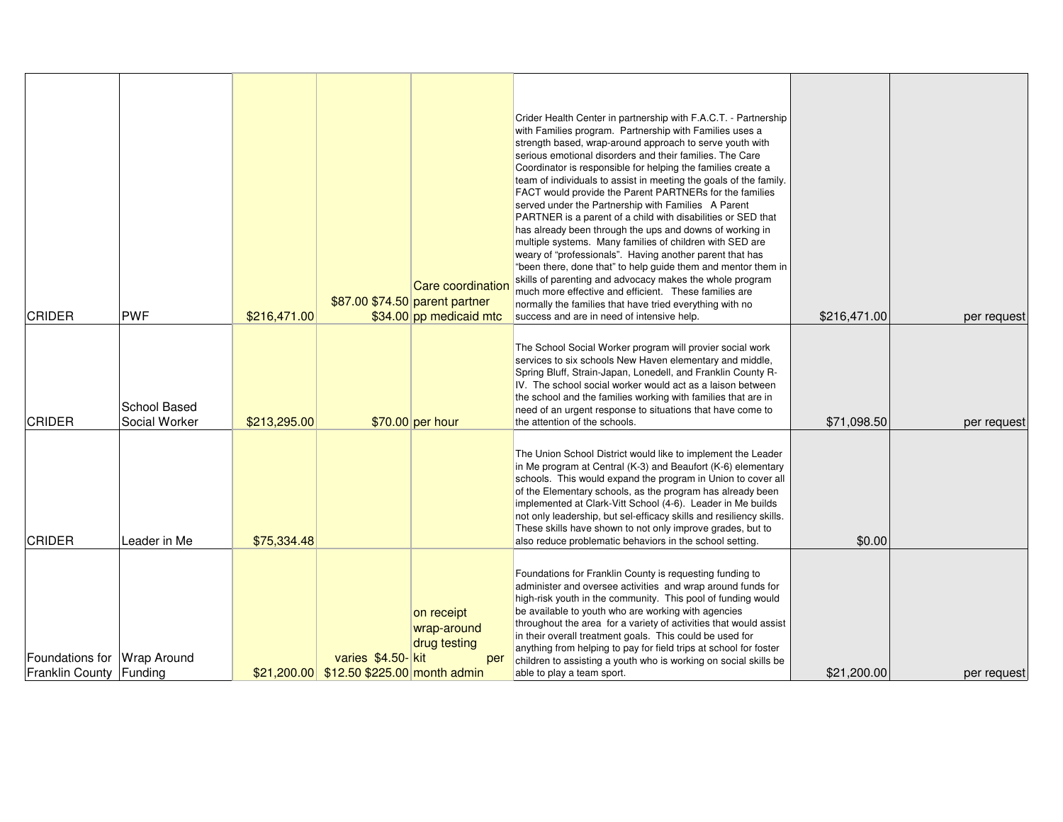| <b>CRIDER</b>                                          | <b>PWF</b>                    | \$216,471.00 |                                                                | Care coordination<br>\$87.00 \$74.50 parent partner<br>\$34.00 pp medicaid mtc | Crider Health Center in partnership with F.A.C.T. - Partnership<br>with Families program. Partnership with Families uses a<br>strength based, wrap-around approach to serve youth with<br>serious emotional disorders and their families. The Care<br>Coordinator is responsible for helping the families create a<br>team of individuals to assist in meeting the goals of the family.<br>FACT would provide the Parent PARTNERs for the families<br>served under the Partnership with Families A Parent<br>PARTNER is a parent of a child with disabilities or SED that<br>has already been through the ups and downs of working in<br>multiple systems. Many families of children with SED are<br>weary of "professionals". Having another parent that has<br>"been there, done that" to help guide them and mentor them in<br>skills of parenting and advocacy makes the whole program<br>much more effective and efficient. These families are<br>normally the families that have tried everything with no<br>success and are in need of intensive help. | \$216,471.00 | per request |
|--------------------------------------------------------|-------------------------------|--------------|----------------------------------------------------------------|--------------------------------------------------------------------------------|---------------------------------------------------------------------------------------------------------------------------------------------------------------------------------------------------------------------------------------------------------------------------------------------------------------------------------------------------------------------------------------------------------------------------------------------------------------------------------------------------------------------------------------------------------------------------------------------------------------------------------------------------------------------------------------------------------------------------------------------------------------------------------------------------------------------------------------------------------------------------------------------------------------------------------------------------------------------------------------------------------------------------------------------------------------|--------------|-------------|
| <b>CRIDER</b>                                          | School Based<br>Social Worker | \$213,295.00 |                                                                | $$70.00$ per hour                                                              | The School Social Worker program will provier social work<br>services to six schools New Haven elementary and middle,<br>Spring Bluff, Strain-Japan, Lonedell, and Franklin County R-<br>IV. The school social worker would act as a laison between<br>the school and the families working with families that are in<br>need of an urgent response to situations that have come to<br>the attention of the schools.                                                                                                                                                                                                                                                                                                                                                                                                                                                                                                                                                                                                                                           | \$71,098.50  | per request |
| <b>CRIDER</b>                                          | Leader in Me                  | \$75,334.48  |                                                                |                                                                                | The Union School District would like to implement the Leader<br>in Me program at Central (K-3) and Beaufort (K-6) elementary<br>schools. This would expand the program in Union to cover all<br>of the Elementary schools, as the program has already been<br>implemented at Clark-Vitt School (4-6). Leader in Me builds<br>not only leadership, but sel-efficacy skills and resiliency skills.<br>These skills have shown to not only improve grades, but to<br>also reduce problematic behaviors in the school setting.                                                                                                                                                                                                                                                                                                                                                                                                                                                                                                                                    | \$0.00       |             |
| Foundations for Wrap Around<br>Franklin County Funding |                               |              | varies \$4.50-kit<br>$$21,200.00$ \$12.50 \$225.00 month admin | on receipt<br>wrap-around<br>drug testing<br>per                               | Foundations for Franklin County is requesting funding to<br>administer and oversee activities and wrap around funds for<br>high-risk youth in the community. This pool of funding would<br>be available to youth who are working with agencies<br>throughout the area for a variety of activities that would assist<br>in their overall treatment goals. This could be used for<br>anything from helping to pay for field trips at school for foster<br>children to assisting a youth who is working on social skills be<br>able to play a team sport.                                                                                                                                                                                                                                                                                                                                                                                                                                                                                                        | \$21,200.00  | per request |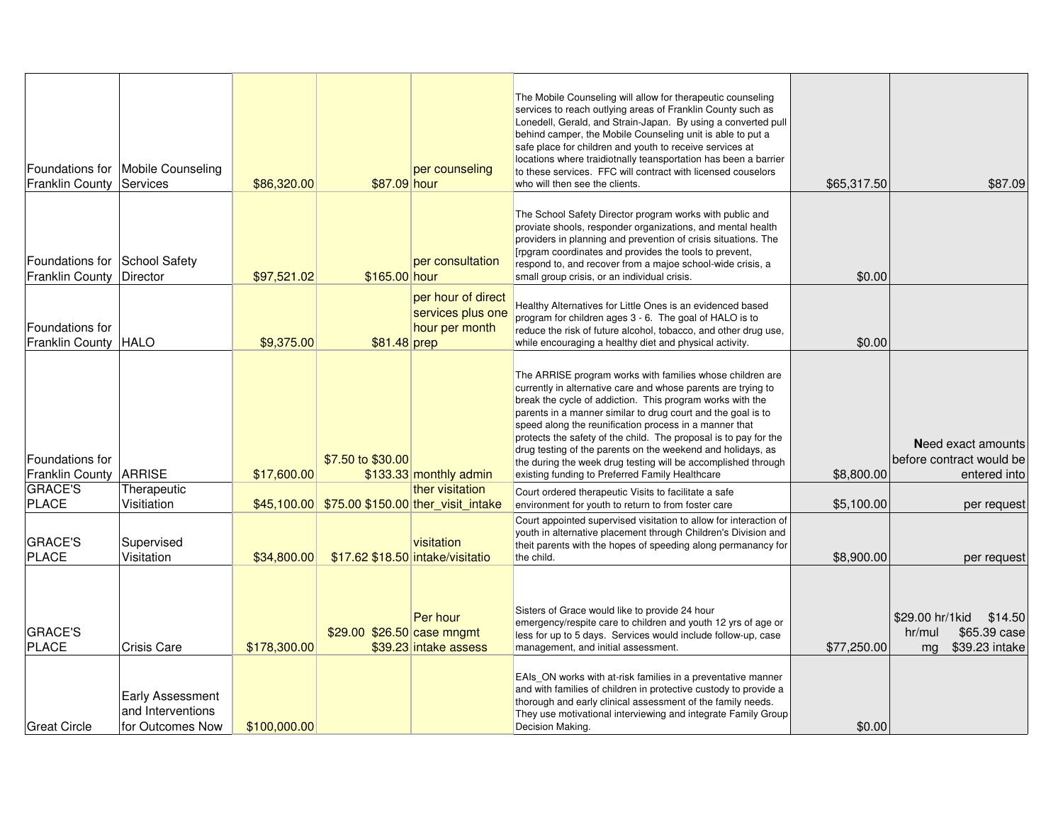| <b>Franklin County</b>                                  | Foundations for   Mobile Counseling<br>Services                  | \$86,320.00                 | \$87.09 hour                                                   | per counseling                                            | The Mobile Counseling will allow for therapeutic counseling<br>services to reach outlying areas of Franklin County such as<br>Lonedell, Gerald, and Strain-Japan. By using a converted pull<br>behind camper, the Mobile Counseling unit is able to put a<br>safe place for children and youth to receive services at<br>locations where traidiotnally teansportation has been a barrier<br>to these services. FFC will contract with licensed couselors<br>who will then see the clients.                                                                               | \$65,317.50               | \$87.09                                                                                      |
|---------------------------------------------------------|------------------------------------------------------------------|-----------------------------|----------------------------------------------------------------|-----------------------------------------------------------|--------------------------------------------------------------------------------------------------------------------------------------------------------------------------------------------------------------------------------------------------------------------------------------------------------------------------------------------------------------------------------------------------------------------------------------------------------------------------------------------------------------------------------------------------------------------------|---------------------------|----------------------------------------------------------------------------------------------|
| Foundations for School Safety<br><b>Franklin County</b> | Director                                                         | \$97,521.02                 | \$165.00 hour                                                  | per consultation                                          | The School Safety Director program works with public and<br>proviate shools, responder organizations, and mental health<br>providers in planning and prevention of crisis situations. The<br>[rpgram coordinates and provides the tools to prevent,<br>respond to, and recover from a majoe school-wide crisis, a<br>small group crisis, or an individual crisis.                                                                                                                                                                                                        | \$0.00                    |                                                                                              |
| Foundations for<br>Franklin County   HALO               |                                                                  | \$9,375.00                  | \$81.48 prep                                                   | per hour of direct<br>services plus one<br>hour per month | Healthy Alternatives for Little Ones is an evidenced based<br>program for children ages 3 - 6. The goal of HALO is to<br>reduce the risk of future alcohol, tobacco, and other drug use,<br>while encouraging a healthy diet and physical activity.                                                                                                                                                                                                                                                                                                                      | \$0.00                    |                                                                                              |
| Foundations for<br>Franklin County   ARRISE             |                                                                  | \$17,600.00                 | \$7.50 to \$30.00                                              | \$133.33 monthly admin                                    | The ARRISE program works with families whose children are<br>currently in alternative care and whose parents are trying to<br>break the cycle of addiction. This program works with the<br>parents in a manner similar to drug court and the goal is to<br>speed along the reunification process in a manner that<br>protects the safety of the child. The proposal is to pay for the<br>drug testing of the parents on the weekend and holidays, as<br>the during the week drug testing will be accomplished through<br>existing funding to Preferred Family Healthcare | \$8,800.00                | <b>Need exact amounts</b><br>before contract would be<br>entered into                        |
| <b>GRACE'S</b>                                          | Therapeutic                                                      |                             |                                                                | ther visitation                                           | Court ordered therapeutic Visits to facilitate a safe                                                                                                                                                                                                                                                                                                                                                                                                                                                                                                                    |                           |                                                                                              |
| <b>PLACE</b><br><b>GRACE'S</b>                          | Visitiation<br>Supervised                                        |                             | \$45,100.00 \$75.00 \$150.00 ther visit intake                 | visitation                                                | environment for youth to return to from foster care<br>Court appointed supervised visitation to allow for interaction of<br>youth in alternative placement through Children's Division and<br>theit parents with the hopes of speeding along permanancy for                                                                                                                                                                                                                                                                                                              | \$5,100.00                | per request                                                                                  |
| <b>PLACE</b><br><b>GRACE'S</b><br><b>PLACE</b>          | Visitation<br>Crisis Care                                        | \$34,800.00<br>\$178,300.00 | \$17.62 \$18.50 intake/visitatio<br>\$29.00 \$26.50 case mngmt | Per hour<br>\$39.23 intake assess                         | the child.<br>Sisters of Grace would like to provide 24 hour<br>emergency/respite care to children and youth 12 yrs of age or<br>less for up to 5 days. Services would include follow-up, case<br>management, and initial assessment.                                                                                                                                                                                                                                                                                                                                    | \$8,900.00<br>\$77,250.00 | per request<br>\$29.00 hr/1 kid<br>\$14.50<br>\$65.39 case<br>hr/mul<br>\$39.23 intake<br>mg |
| <b>Great Circle</b>                                     | <b>Early Assessment</b><br>and Interventions<br>for Outcomes Now | \$100,000.00                |                                                                |                                                           | EAIs ON works with at-risk families in a preventative manner<br>and with families of children in protective custody to provide a<br>thorough and early clinical assessment of the family needs.<br>They use motivational interviewing and integrate Family Group<br>Decision Making.                                                                                                                                                                                                                                                                                     | \$0.00                    |                                                                                              |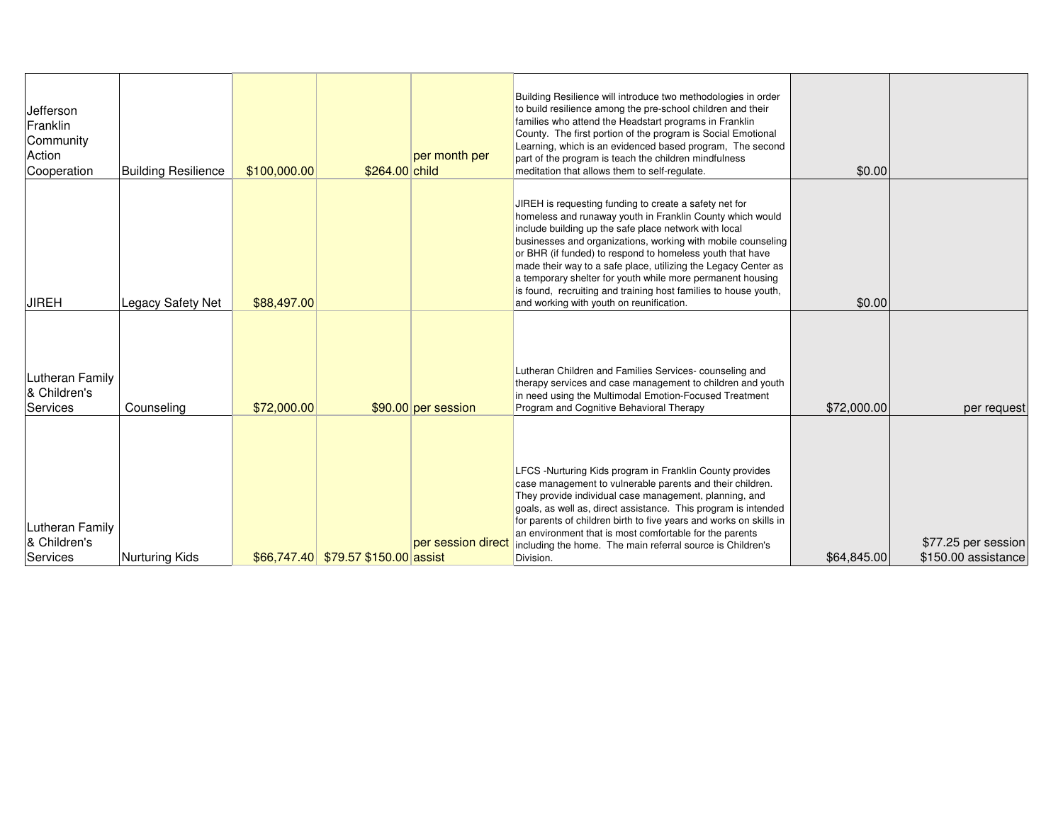| Jefferson<br>Franklin<br>Community<br>Action<br>Cooperation | <b>Building Resilience</b> | \$100,000.00 | \$264.00 child                      | per month per       | Building Resilience will introduce two methodologies in order<br>to build resilience among the pre-school children and their<br>families who attend the Headstart programs in Franklin<br>County. The first portion of the program is Social Emotional<br>Learning, which is an evidenced based program, The second<br>part of the program is teach the children mindfulness<br>meditation that allows them to self-regulate.                                                                                                                            | \$0.00      |                                            |
|-------------------------------------------------------------|----------------------------|--------------|-------------------------------------|---------------------|----------------------------------------------------------------------------------------------------------------------------------------------------------------------------------------------------------------------------------------------------------------------------------------------------------------------------------------------------------------------------------------------------------------------------------------------------------------------------------------------------------------------------------------------------------|-------------|--------------------------------------------|
| <b>JIREH</b>                                                | Legacy Safety Net          | \$88,497.00  |                                     |                     | JIREH is requesting funding to create a safety net for<br>homeless and runaway youth in Franklin County which would<br>include building up the safe place network with local<br>businesses and organizations, working with mobile counseling<br>or BHR (if funded) to respond to homeless youth that have<br>made their way to a safe place, utilizing the Legacy Center as<br>a temporary shelter for youth while more permanent housing<br>is found, recruiting and training host families to house youth,<br>and working with youth on reunification. | \$0.00      |                                            |
| Lutheran Family<br>& Children's<br>Services                 | Counseling                 | \$72,000.00  |                                     | \$90.00 per session | Lutheran Children and Families Services-counseling and<br>therapy services and case management to children and youth<br>in need using the Multimodal Emotion-Focused Treatment<br>Program and Cognitive Behavioral Therapy                                                                                                                                                                                                                                                                                                                               | \$72,000.00 | per request                                |
| <b>Lutheran Family</b><br>& Children's<br>Services          | Nurturing Kids             |              | \$66,747.40 \$79.57 \$150.00 assist | per session direct  | LFCS -Nurturing Kids program in Franklin County provides<br>case management to vulnerable parents and their children.<br>They provide individual case management, planning, and<br>goals, as well as, direct assistance. This program is intended<br>for parents of children birth to five years and works on skills in<br>an environment that is most comfortable for the parents<br>including the home. The main referral source is Children's<br>Division.                                                                                            | \$64,845.00 | \$77.25 per session<br>\$150.00 assistance |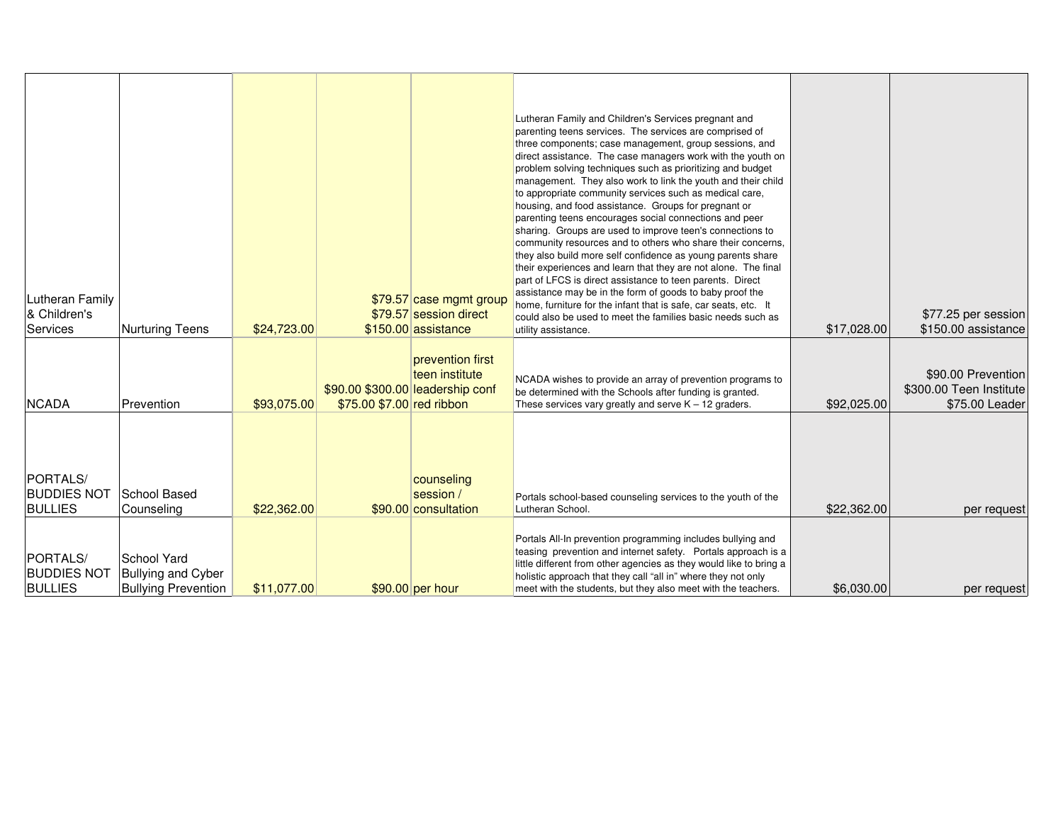| <b>Lutheran Family</b><br>& Children's<br>Services | <b>Nurturing Teens</b>                                                 | \$24,723.00 |                                                               | \$79.57 case mgmt group<br>\$79.57 session direct<br>\$150.00 assistance | Lutheran Family and Children's Services pregnant and<br>parenting teens services. The services are comprised of<br>three components; case management, group sessions, and<br>direct assistance. The case managers work with the youth on<br>problem solving techniques such as prioritizing and budget<br>management. They also work to link the youth and their child<br>to appropriate community services such as medical care,<br>housing, and food assistance. Groups for pregnant or<br>parenting teens encourages social connections and peer<br>sharing. Groups are used to improve teen's connections to<br>community resources and to others who share their concerns,<br>they also build more self confidence as young parents share<br>their experiences and learn that they are not alone. The final<br>part of LFCS is direct assistance to teen parents. Direct<br>assistance may be in the form of goods to baby proof the<br>home, furniture for the infant that is safe, car seats, etc. It<br>could also be used to meet the families basic needs such as<br>utility assistance. | \$17,028.00 | \$77.25 per session<br>\$150.00 assistance                      |
|----------------------------------------------------|------------------------------------------------------------------------|-------------|---------------------------------------------------------------|--------------------------------------------------------------------------|----------------------------------------------------------------------------------------------------------------------------------------------------------------------------------------------------------------------------------------------------------------------------------------------------------------------------------------------------------------------------------------------------------------------------------------------------------------------------------------------------------------------------------------------------------------------------------------------------------------------------------------------------------------------------------------------------------------------------------------------------------------------------------------------------------------------------------------------------------------------------------------------------------------------------------------------------------------------------------------------------------------------------------------------------------------------------------------------------|-------------|-----------------------------------------------------------------|
| <b>NCADA</b>                                       | Prevention                                                             | \$93,075.00 | \$90.00 \$300.00 leadership conf<br>\$75.00 \$7.00 red ribbon | prevention first<br>teen institute                                       | NCADA wishes to provide an array of prevention programs to<br>be determined with the Schools after funding is granted.<br>These services vary greatly and serve K - 12 graders.                                                                                                                                                                                                                                                                                                                                                                                                                                                                                                                                                                                                                                                                                                                                                                                                                                                                                                                    | \$92,025.00 | \$90.00 Prevention<br>\$300.00 Teen Institute<br>\$75.00 Leader |
| PORTALS/<br><b>BUDDIES NOT</b><br><b>BULLIES</b>   | School Based<br>Counseling                                             | \$22,362.00 |                                                               | counseling<br>session /<br>\$90.00 consultation                          | Portals school-based counseling services to the youth of the<br>Lutheran School.                                                                                                                                                                                                                                                                                                                                                                                                                                                                                                                                                                                                                                                                                                                                                                                                                                                                                                                                                                                                                   | \$22,362,00 | per request                                                     |
| PORTALS/<br><b>BUDDIES NOT</b><br><b>BULLIES</b>   | School Yard<br><b>Bullying and Cyber</b><br><b>Bullying Prevention</b> | \$11.077.00 |                                                               | $$90.00$ per hour                                                        | Portals All-In prevention programming includes bullying and<br>teasing prevention and internet safety. Portals approach is a<br>little different from other agencies as they would like to bring a<br>holistic approach that they call "all in" where they not only<br>meet with the students, but they also meet with the teachers.                                                                                                                                                                                                                                                                                                                                                                                                                                                                                                                                                                                                                                                                                                                                                               | \$6,030.00  | per request                                                     |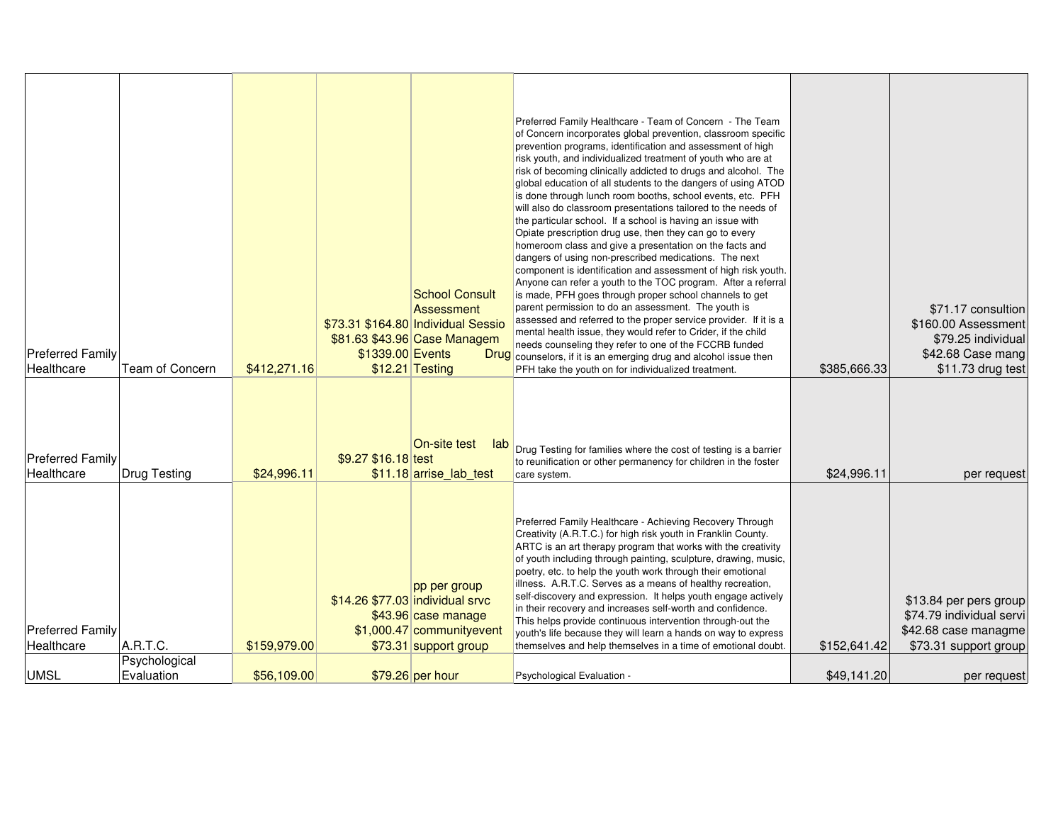| <b>Preferred Family</b><br>Healthcare | Team of Concern           | \$412,271.16 | \$1339.00 Events    | <b>School Consult</b><br>Assessment<br>\$73.31 \$164.80 Individual Sessio<br>\$81.63 \$43.96 Case Managem<br>$$12.21$ Testing | Preferred Family Healthcare - Team of Concern - The Team<br>of Concern incorporates global prevention, classroom specific<br>prevention programs, identification and assessment of high<br>risk youth, and individualized treatment of youth who are at<br>risk of becoming clinically addicted to drugs and alcohol. The<br>global education of all students to the dangers of using ATOD<br>is done through lunch room booths, school events, etc. PFH<br>will also do classroom presentations tailored to the needs of<br>the particular school. If a school is having an issue with<br>Opiate prescription drug use, then they can go to every<br>homeroom class and give a presentation on the facts and<br>dangers of using non-prescribed medications. The next<br>component is identification and assessment of high risk youth.<br>Anyone can refer a youth to the TOC program. After a referral<br>is made, PFH goes through proper school channels to get<br>parent permission to do an assessment. The youth is<br>assessed and referred to the proper service provider. If it is a<br>mental health issue, they would refer to Crider, if the child<br>needs counseling they refer to one of the FCCRB funded<br><b>Drug</b> counselors, if it is an emerging drug and alcohol issue then<br>PFH take the youth on for individualized treatment. | \$385,666.33 | \$71.17 consultion<br>\$160.00 Assessment<br>\$79.25 individual<br>\$42.68 Case mang<br>\$11.73 drug test |
|---------------------------------------|---------------------------|--------------|---------------------|-------------------------------------------------------------------------------------------------------------------------------|---------------------------------------------------------------------------------------------------------------------------------------------------------------------------------------------------------------------------------------------------------------------------------------------------------------------------------------------------------------------------------------------------------------------------------------------------------------------------------------------------------------------------------------------------------------------------------------------------------------------------------------------------------------------------------------------------------------------------------------------------------------------------------------------------------------------------------------------------------------------------------------------------------------------------------------------------------------------------------------------------------------------------------------------------------------------------------------------------------------------------------------------------------------------------------------------------------------------------------------------------------------------------------------------------------------------------------------------------------------|--------------|-----------------------------------------------------------------------------------------------------------|
| <b>Preferred Family</b><br>Healthcare | Drug Testing              | \$24,996.11  | \$9.27 \$16.18 test | On-site test<br>lab<br>\$11.18 arrise lab test                                                                                | Drug Testing for families where the cost of testing is a barrier<br>to reunification or other permanency for children in the foster<br>care system.                                                                                                                                                                                                                                                                                                                                                                                                                                                                                                                                                                                                                                                                                                                                                                                                                                                                                                                                                                                                                                                                                                                                                                                                           | \$24,996.11  | per request                                                                                               |
| <b>Preferred Family</b><br>Healthcare | A.R.T.C.<br>Psychological | \$159,979.00 |                     | pp per group<br>\$14.26 \$77.03 individual srvc<br>\$43.96 case manage<br>$$1,000.47$ communityevent<br>\$73.31 support group | Preferred Family Healthcare - Achieving Recovery Through<br>Creativity (A.R.T.C.) for high risk youth in Franklin County.<br>ARTC is an art therapy program that works with the creativity<br>of youth including through painting, sculpture, drawing, music,<br>poetry, etc. to help the youth work through their emotional<br>illness. A.R.T.C. Serves as a means of healthy recreation,<br>self-discovery and expression. It helps youth engage actively<br>in their recovery and increases self-worth and confidence.<br>This helps provide continuous intervention through-out the<br>youth's life because they will learn a hands on way to express<br>themselves and help themselves in a time of emotional doubt.                                                                                                                                                                                                                                                                                                                                                                                                                                                                                                                                                                                                                                     | \$152,641.42 | \$13.84 per pers group<br>\$74.79 individual servi<br>\$42.68 case managme<br>\$73.31 support group       |
| <b>UMSL</b>                           | Evaluation                | \$56,109.00  |                     | \$79.26 per hour                                                                                                              | Psychological Evaluation -                                                                                                                                                                                                                                                                                                                                                                                                                                                                                                                                                                                                                                                                                                                                                                                                                                                                                                                                                                                                                                                                                                                                                                                                                                                                                                                                    | \$49,141.20  | per request                                                                                               |